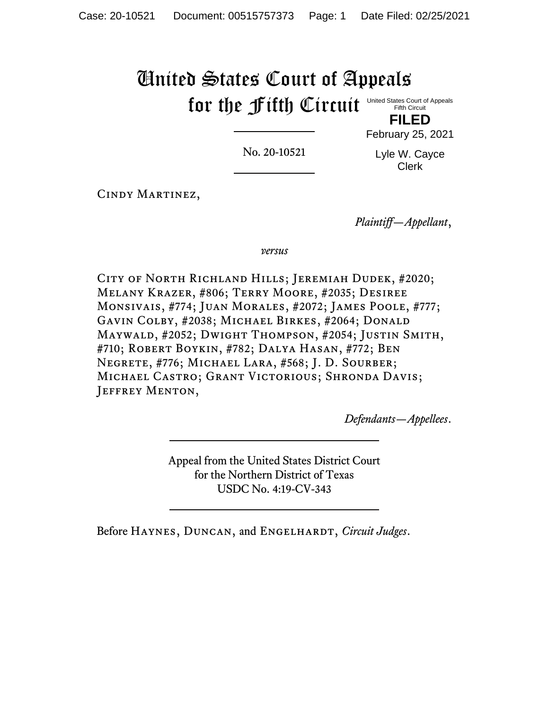# United States Court of Appeals for the fifth Circuit United States Court of Appeals Fifth Circuit

No. 20-10521

Lyle W. Cayce Clerk

**FILED** February 25, 2021

Cindy Martinez,

*Plaintiff—Appellant*,

*versus*

City of North Richland Hills; Jeremiah Dudek, #2020; Melany Krazer, #806; Terry Moore, #2035; Desiree Monsivais, #774; Juan Morales, #2072; James Poole, #777; Gavin Colby, #2038; Michael Birkes, #2064; Donald Maywald, #2052; Dwight Thompson, #2054; Justin Smith, #710; Robert Boykin, #782; Dalya Hasan, #772; Ben Negrete, #776; Michael Lara, #568; J. D. Sourber; Michael Castro; Grant Victorious; Shronda Davis; JEFFREY MENTON,

*Defendants—Appellees*.

Appeal from the United States District Court for the Northern District of Texas USDC No. 4:19-CV-343

Before Haynes, Duncan, and Engelhardt, *Circuit Judges*.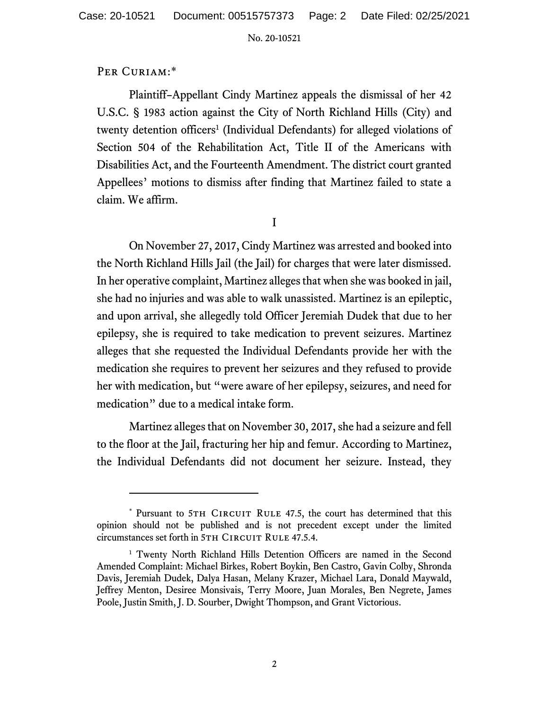# PER CURIAM:\*

Plaintiff–Appellant Cindy Martinez appeals the dismissal of her 42 U.S.C. § 1983 action against the City of North Richland Hills (City) and twenty detention officers<sup>1</sup> (Individual Defendants) for alleged violations of Section 504 of the Rehabilitation Act, Title II of the Americans with Disabilities Act, and the Fourteenth Amendment. The district court granted Appellees' motions to dismiss after finding that Martinez failed to state a claim. We affirm.

I

On November 27, 2017, Cindy Martinez was arrested and booked into the North Richland Hills Jail (the Jail) for charges that were later dismissed. In her operative complaint, Martinez alleges that when she was booked in jail, she had no injuries and was able to walk unassisted. Martinez is an epileptic, and upon arrival, she allegedly told Officer Jeremiah Dudek that due to her epilepsy, she is required to take medication to prevent seizures. Martinez alleges that she requested the Individual Defendants provide her with the medication she requires to prevent her seizures and they refused to provide her with medication, but "were aware of her epilepsy, seizures, and need for medication" due to a medical intake form.

Martinez alleges that on November 30, 2017, she had a seizure and fell to the floor at the Jail, fracturing her hip and femur. According to Martinez, the Individual Defendants did not document her seizure. Instead, they

<sup>\*</sup> Pursuant to 5TH CIRCUIT RULE 47.5, the court has determined that this opinion should not be published and is not precedent except under the limited circumstances set forth in 5TH CIRCUIT RULE 47.5.4.

<sup>&</sup>lt;sup>1</sup> Twenty North Richland Hills Detention Officers are named in the Second Amended Complaint: Michael Birkes, Robert Boykin, Ben Castro, Gavin Colby, Shronda Davis, Jeremiah Dudek, Dalya Hasan, Melany Krazer, Michael Lara, Donald Maywald, Jeffrey Menton, Desiree Monsivais, Terry Moore, Juan Morales, Ben Negrete, James Poole, Justin Smith, J. D. Sourber, Dwight Thompson, and Grant Victorious.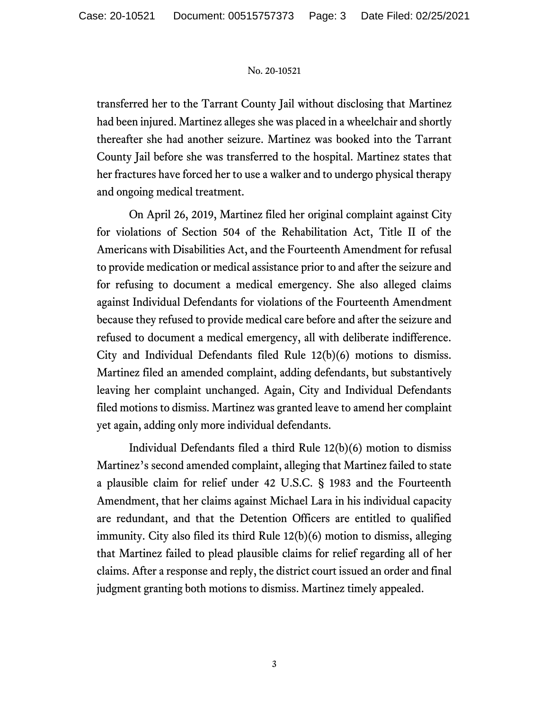transferred her to the Tarrant County Jail without disclosing that Martinez had been injured. Martinez alleges she was placed in a wheelchair and shortly thereafter she had another seizure. Martinez was booked into the Tarrant County Jail before she was transferred to the hospital. Martinez states that her fractures have forced her to use a walker and to undergo physical therapy and ongoing medical treatment.

On April 26, 2019, Martinez filed her original complaint against City for violations of Section 504 of the Rehabilitation Act, Title II of the Americans with Disabilities Act, and the Fourteenth Amendment for refusal to provide medication or medical assistance prior to and after the seizure and for refusing to document a medical emergency. She also alleged claims against Individual Defendants for violations of the Fourteenth Amendment because they refused to provide medical care before and after the seizure and refused to document a medical emergency, all with deliberate indifference. City and Individual Defendants filed Rule 12(b)(6) motions to dismiss. Martinez filed an amended complaint, adding defendants, but substantively leaving her complaint unchanged. Again, City and Individual Defendants filed motions to dismiss. Martinez was granted leave to amend her complaint yet again, adding only more individual defendants.

Individual Defendants filed a third Rule 12(b)(6) motion to dismiss Martinez's second amended complaint, alleging that Martinez failed to state a plausible claim for relief under 42 U.S.C. § 1983 and the Fourteenth Amendment, that her claims against Michael Lara in his individual capacity are redundant, and that the Detention Officers are entitled to qualified immunity. City also filed its third Rule 12(b)(6) motion to dismiss, alleging that Martinez failed to plead plausible claims for relief regarding all of her claims. After a response and reply, the district court issued an order and final judgment granting both motions to dismiss. Martinez timely appealed.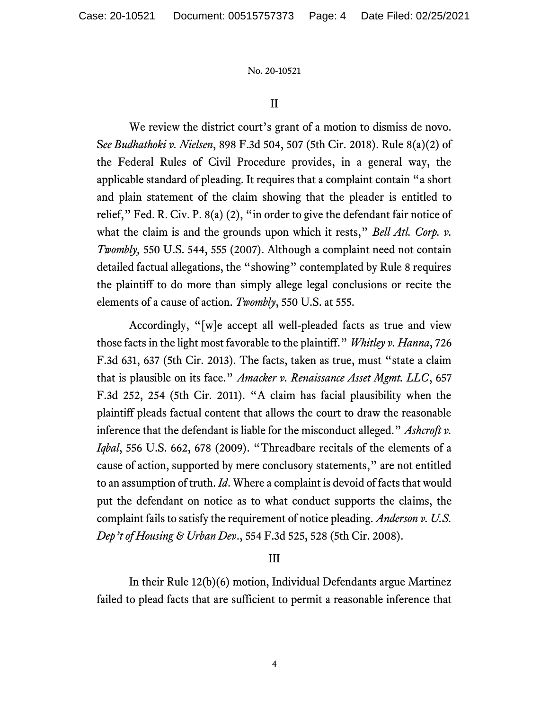#### II

We review the district court's grant of a motion to dismiss de novo. S*ee Budhathoki v. Nielsen*, 898 F.3d 504, 507 (5th Cir. 2018). Rule 8(a)(2) of the Federal Rules of Civil Procedure provides, in a general way, the applicable standard of pleading. It requires that a complaint contain "a short and plain statement of the claim showing that the pleader is entitled to relief," Fed. R. Civ. P. 8(a) (2), "in order to give the defendant fair notice of what the claim is and the grounds upon which it rests," *Bell Atl. Corp. v. Twombly,* 550 U.S. 544, 555 (2007). Although a complaint need not contain detailed factual allegations, the "showing" contemplated by Rule 8 requires the plaintiff to do more than simply allege legal conclusions or recite the elements of a cause of action. *Twombly*, 550 U.S. at 555.

Accordingly, "[w]e accept all well-pleaded facts as true and view those facts in the light most favorable to the plaintiff." *Whitley v. Hanna*, 726 F.3d 631, 637 (5th Cir. 2013). The facts, taken as true, must "state a claim that is plausible on its face." *Amacker v. Renaissance Asset Mgmt. LLC*, 657 F.3d 252, 254 (5th Cir. 2011). "A claim has facial plausibility when the plaintiff pleads factual content that allows the court to draw the reasonable inference that the defendant is liable for the misconduct alleged." *Ashcroft v. Iqbal*, 556 U.S. 662, 678 (2009). "Threadbare recitals of the elements of a cause of action, supported by mere conclusory statements," are not entitled to an assumption of truth. *Id*. Where a complaint is devoid of facts that would put the defendant on notice as to what conduct supports the claims, the complaint fails to satisfy the requirement of notice pleading. *Anderson v. U.S. Dep't of Housing & Urban Dev*., 554 F.3d 525, 528 (5th Cir. 2008).

### III

In their Rule 12(b)(6) motion, Individual Defendants argue Martinez failed to plead facts that are sufficient to permit a reasonable inference that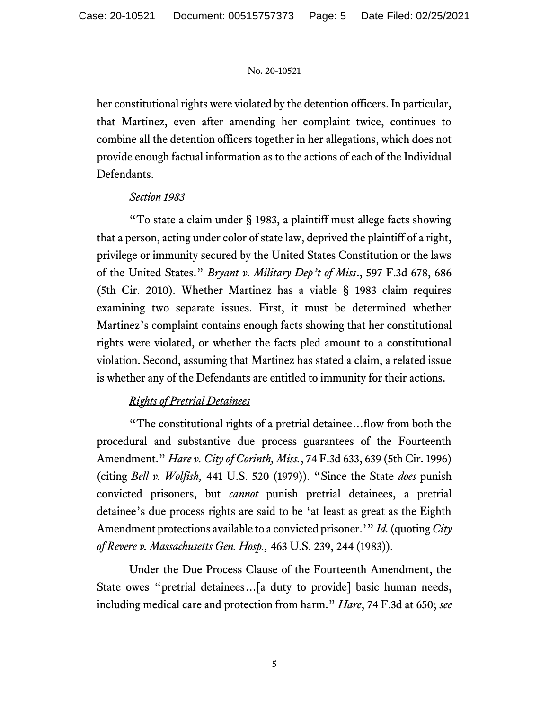her constitutional rights were violated by the detention officers. In particular, that Martinez, even after amending her complaint twice, continues to combine all the detention officers together in her allegations, which does not provide enough factual information as to the actions of each of the Individual Defendants.

# *Section 1983*

"To state a claim under § 1983, a plaintiff must allege facts showing that a person, acting under color of state law, deprived the plaintiff of a right, privilege or immunity secured by the United States Constitution or the laws of the United States." *Bryant v. Military Dep't of Miss*., 597 F.3d 678, 686 (5th Cir. 2010). Whether Martinez has a viable § 1983 claim requires examining two separate issues. First, it must be determined whether Martinez's complaint contains enough facts showing that her constitutional rights were violated, or whether the facts pled amount to a constitutional violation. Second, assuming that Martinez has stated a claim, a related issue is whether any of the Defendants are entitled to immunity for their actions.

# *Rights of Pretrial Detainees*

"The constitutional rights of a pretrial detainee…flow from both the procedural and substantive due process guarantees of the Fourteenth Amendment." *Hare v. City of Corinth, Miss.*, 74 F.3d 633, 639 (5th Cir. 1996) (citing *Bell v. Wolfish,* 441 U.S. 520 (1979)). "Since the State *does* punish convicted prisoners, but *cannot* punish pretrial detainees, a pretrial detainee's due process rights are said to be 'at least as great as the Eighth Amendment protections available to a convicted prisoner.'" *Id.* (quoting *City of Revere v. Massachusetts Gen. Hosp.,* 463 U.S. 239, 244 (1983)).

Under the Due Process Clause of the Fourteenth Amendment, the State owes "pretrial detainees…[a duty to provide] basic human needs, including medical care and protection from harm." *Hare*, 74 F.3d at 650; *see*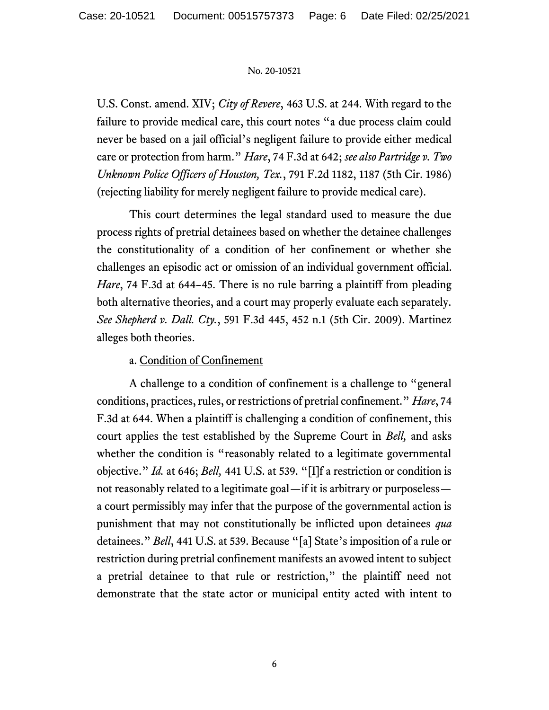U.S. Const. amend. XIV; *City of Revere*, 463 U.S. at 244. With regard to the failure to provide medical care, this court notes "a due process claim could never be based on a jail official's negligent failure to provide either medical care or protection from harm." *Hare*, 74 F.3d at 642; *see also Partridge v. Two Unknown Police Officers of Houston, Tex.*, 791 F.2d 1182, 1187 (5th Cir. 1986) (rejecting liability for merely negligent failure to provide medical care).

This court determines the legal standard used to measure the due process rights of pretrial detainees based on whether the detainee challenges the constitutionality of a condition of her confinement or whether she challenges an episodic act or omission of an individual government official. *Hare*, 74 F.3d at 644–45. There is no rule barring a plaintiff from pleading both alternative theories, and a court may properly evaluate each separately. *See Shepherd v. Dall. Cty.*, 591 F.3d 445, 452 n.1 (5th Cir. 2009). Martinez alleges both theories.

# a. Condition of Confinement

A challenge to a condition of confinement is a challenge to "general conditions, practices, rules, or restrictions of pretrial confinement." *Hare*, 74 F.3d at 644. When a plaintiff is challenging a condition of confinement, this court applies the test established by the Supreme Court in *Bell,* and asks whether the condition is "reasonably related to a legitimate governmental objective." *Id.* at 646; *Bell,* 441 U.S. at 539. "[I]f a restriction or condition is not reasonably related to a legitimate goal—if it is arbitrary or purposeless a court permissibly may infer that the purpose of the governmental action is punishment that may not constitutionally be inflicted upon detainees *qua*  detainees." *Bell*, 441 U.S. at 539. Because "[a] State's imposition of a rule or restriction during pretrial confinement manifests an avowed intent to subject a pretrial detainee to that rule or restriction," the plaintiff need not demonstrate that the state actor or municipal entity acted with intent to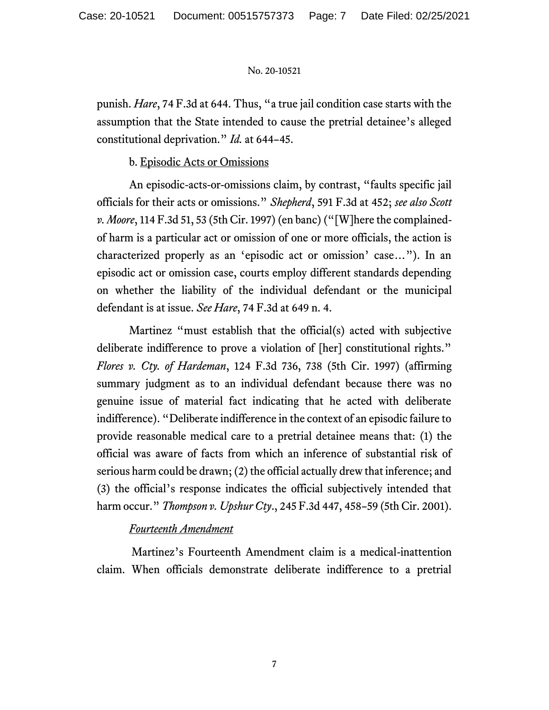punish. *Hare*, 74 F.3d at 644. Thus, "a true jail condition case starts with the assumption that the State intended to cause the pretrial detainee's alleged constitutional deprivation." *Id.* at 644–45.

# b. Episodic Acts or Omissions

An episodic-acts-or-omissions claim, by contrast, "faults specific jail officials for their acts or omissions." *Shepherd*, 591 F.3d at 452; *see also Scott v. Moore*, 114 F.3d 51, 53 (5th Cir. 1997) (en banc) ("[W]here the complainedof harm is a particular act or omission of one or more officials, the action is characterized properly as an 'episodic act or omission' case…"). In an episodic act or omission case, courts employ different standards depending on whether the liability of the individual defendant or the municipal defendant is at issue. *See Hare*, 74 F.3d at 649 n. 4.

Martinez "must establish that the official(s) acted with subjective deliberate indifference to prove a violation of [her] constitutional rights." *Flores v. Cty. of Hardeman*, 124 F.3d 736, 738 (5th Cir. 1997) (affirming summary judgment as to an individual defendant because there was no genuine issue of material fact indicating that he acted with deliberate indifference). "Deliberate indifference in the context of an episodic failure to provide reasonable medical care to a pretrial detainee means that: (1) the official was aware of facts from which an inference of substantial risk of serious harm could be drawn; (2) the official actually drew that inference; and (3) the official's response indicates the official subjectively intended that harm occur." *Thompson v. Upshur Cty*., 245 F.3d 447, 458–59 (5th Cir. 2001).

# *Fourteenth Amendment*

Martinez's Fourteenth Amendment claim is a medical-inattention claim. When officials demonstrate deliberate indifference to a pretrial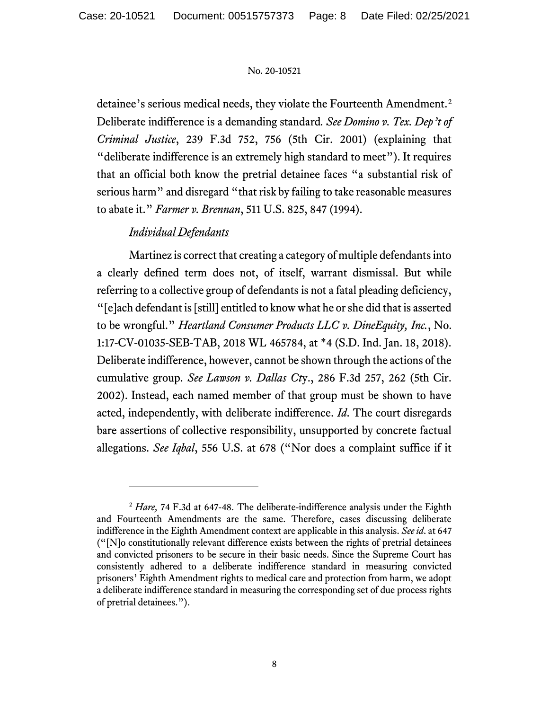detainee's serious medical needs, they violate the Fourteenth Amendment.<sup>2</sup> Deliberate indifference is a demanding standard*. See Domino v. Tex. Dep't of Criminal Justice*, 239 F.3d 752, 756 (5th Cir. 2001) (explaining that "deliberate indifference is an extremely high standard to meet"). It requires that an official both know the pretrial detainee faces "a substantial risk of serious harm" and disregard "that risk by failing to take reasonable measures to abate it." *Farmer v. Brennan*, 511 U.S. 825, 847 (1994).

# *Individual Defendants*

Martinez is correct that creating a category of multiple defendants into a clearly defined term does not, of itself, warrant dismissal. But while referring to a collective group of defendants is not a fatal pleading deficiency, "[e]ach defendant is [still] entitled to know what he or she did that is asserted to be wrongful." *Heartland Consumer Products LLC v. DineEquity, Inc.*, No. 1:17-CV-01035-SEB-TAB, 2018 WL 465784, at \*4 (S.D. Ind. Jan. 18, 2018). Deliberate indifference, however, cannot be shown through the actions of the cumulative group. *See Lawson v. Dallas Ct*y., 286 F.3d 257, 262 (5th Cir. 2002). Instead, each named member of that group must be shown to have acted, independently, with deliberate indifference. *Id*. The court disregards bare assertions of collective responsibility, unsupported by concrete factual allegations. *See Iqbal*, 556 U.S. at 678 ("Nor does a complaint suffice if it

<sup>&</sup>lt;sup>2</sup> *Hare*, 74 F.3d at 647-48. The deliberate-indifference analysis under the Eighth and Fourteenth Amendments are the same. Therefore, cases discussing deliberate indifference in the Eighth Amendment context are applicable in this analysis. *See id*. at 647 ("[N]o constitutionally relevant difference exists between the rights of pretrial detainees and convicted prisoners to be secure in their basic needs. Since the Supreme Court has consistently adhered to a deliberate indifference standard in measuring convicted prisoners' Eighth Amendment rights to medical care and protection from harm, we adopt a deliberate indifference standard in measuring the corresponding set of due process rights of pretrial detainees.").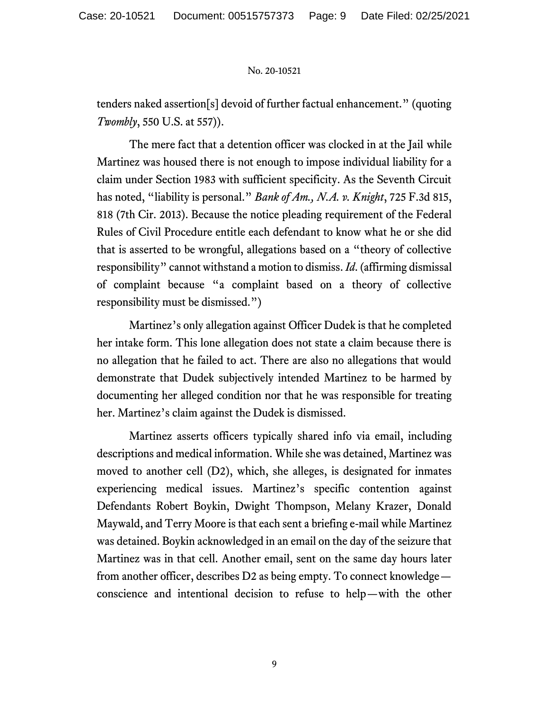tenders naked assertion[s] devoid of further factual enhancement." (quoting *Twombly*, 550 U.S. at 557)).

The mere fact that a detention officer was clocked in at the Jail while Martinez was housed there is not enough to impose individual liability for a claim under Section 1983 with sufficient specificity. As the Seventh Circuit has noted, "liability is personal." *Bank of Am., N.A. v. Knight*, 725 F.3d 815, 818 (7th Cir. 2013). Because the notice pleading requirement of the Federal Rules of Civil Procedure entitle each defendant to know what he or she did that is asserted to be wrongful, allegations based on a "theory of collective responsibility" cannot withstand a motion to dismiss. *Id*. (affirming dismissal of complaint because "a complaint based on a theory of collective responsibility must be dismissed.")

Martinez's only allegation against Officer Dudek is that he completed her intake form. This lone allegation does not state a claim because there is no allegation that he failed to act. There are also no allegations that would demonstrate that Dudek subjectively intended Martinez to be harmed by documenting her alleged condition nor that he was responsible for treating her. Martinez's claim against the Dudek is dismissed.

Martinez asserts officers typically shared info via email, including descriptions and medical information. While she was detained, Martinez was moved to another cell (D2), which, she alleges, is designated for inmates experiencing medical issues. Martinez's specific contention against Defendants Robert Boykin, Dwight Thompson, Melany Krazer, Donald Maywald, and Terry Moore is that each sent a briefing e-mail while Martinez was detained. Boykin acknowledged in an email on the day of the seizure that Martinez was in that cell. Another email, sent on the same day hours later from another officer, describes D2 as being empty. To connect knowledge conscience and intentional decision to refuse to help—with the other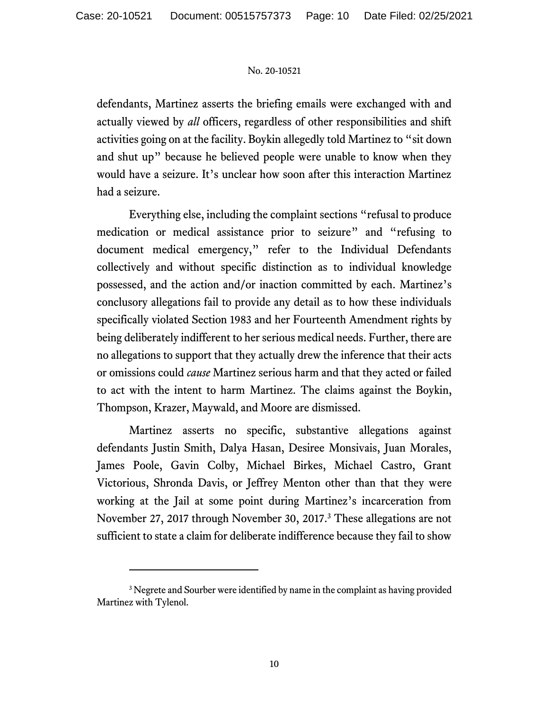defendants, Martinez asserts the briefing emails were exchanged with and actually viewed by *all* officers, regardless of other responsibilities and shift activities going on at the facility. Boykin allegedly told Martinez to "sit down and shut up" because he believed people were unable to know when they would have a seizure. It's unclear how soon after this interaction Martinez had a seizure.

Everything else, including the complaint sections "refusal to produce medication or medical assistance prior to seizure" and "refusing to document medical emergency," refer to the Individual Defendants collectively and without specific distinction as to individual knowledge possessed, and the action and/or inaction committed by each. Martinez's conclusory allegations fail to provide any detail as to how these individuals specifically violated Section 1983 and her Fourteenth Amendment rights by being deliberately indifferent to her serious medical needs. Further, there are no allegations to support that they actually drew the inference that their acts or omissions could *cause* Martinez serious harm and that they acted or failed to act with the intent to harm Martinez. The claims against the Boykin, Thompson, Krazer, Maywald, and Moore are dismissed.

Martinez asserts no specific, substantive allegations against defendants Justin Smith, Dalya Hasan, Desiree Monsivais, Juan Morales, James Poole, Gavin Colby, Michael Birkes, Michael Castro, Grant Victorious, Shronda Davis, or Jeffrey Menton other than that they were working at the Jail at some point during Martinez's incarceration from November 27, 2017 through November 30, 2017.<sup>3</sup> These allegations are not sufficient to state a claim for deliberate indifference because they fail to show

<sup>&</sup>lt;sup>3</sup> Negrete and Sourber were identified by name in the complaint as having provided Martinez with Tylenol.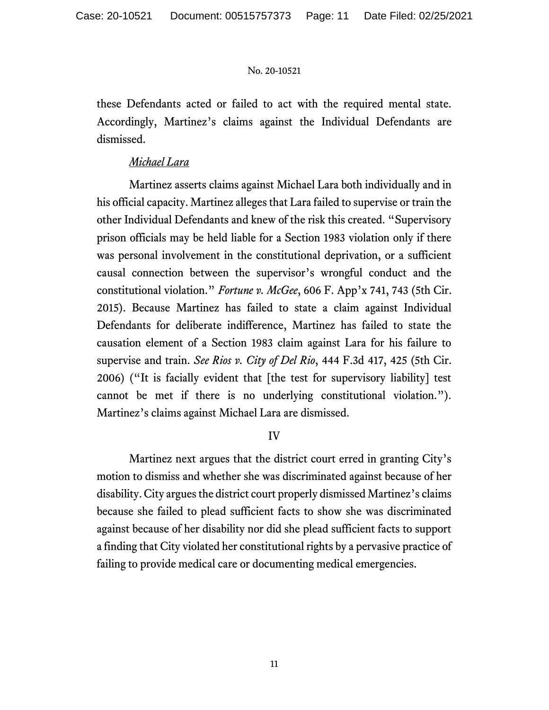these Defendants acted or failed to act with the required mental state. Accordingly, Martinez's claims against the Individual Defendants are dismissed.

### *Michael Lara*

Martinez asserts claims against Michael Lara both individually and in his official capacity. Martinez alleges that Lara failed to supervise or train the other Individual Defendants and knew of the risk this created. "Supervisory prison officials may be held liable for a Section 1983 violation only if there was personal involvement in the constitutional deprivation, or a sufficient causal connection between the supervisor's wrongful conduct and the constitutional violation." *Fortune v. McGee*, 606 F. App'x 741, 743 (5th Cir. 2015). Because Martinez has failed to state a claim against Individual Defendants for deliberate indifference, Martinez has failed to state the causation element of a Section 1983 claim against Lara for his failure to supervise and train. *See Rios v. City of Del Rio*, 444 F.3d 417, 425 (5th Cir. 2006) ("It is facially evident that [the test for supervisory liability] test cannot be met if there is no underlying constitutional violation."). Martinez's claims against Michael Lara are dismissed.

# IV

Martinez next argues that the district court erred in granting City's motion to dismiss and whether she was discriminated against because of her disability. City argues the district court properly dismissed Martinez's claims because she failed to plead sufficient facts to show she was discriminated against because of her disability nor did she plead sufficient facts to support a finding that City violated her constitutional rights by a pervasive practice of failing to provide medical care or documenting medical emergencies.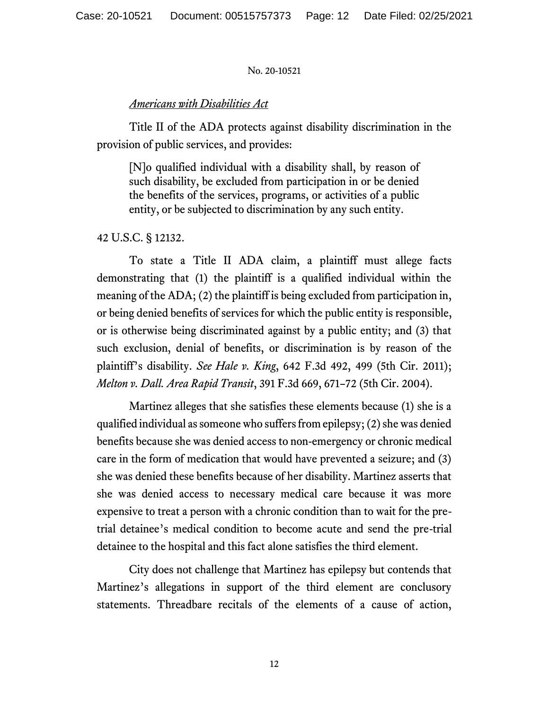#### *Americans with Disabilities Act*

Title II of the ADA protects against disability discrimination in the provision of public services, and provides:

[N]o qualified individual with a disability shall, by reason of such disability, be excluded from participation in or be denied the benefits of the services, programs, or activities of a public entity, or be subjected to discrimination by any such entity.

#### 42 U.S.C. § 12132.

To state a Title II ADA claim, a plaintiff must allege facts demonstrating that (1) the plaintiff is a qualified individual within the meaning of the ADA; (2) the plaintiff is being excluded from participation in, or being denied benefits of services for which the public entity is responsible, or is otherwise being discriminated against by a public entity; and (3) that such exclusion, denial of benefits, or discrimination is by reason of the plaintiff's disability. *See Hale v. King*, 642 F.3d 492, 499 (5th Cir. 2011); *Melton v. Dall. Area Rapid Transit*, 391 F.3d 669, 671–72 (5th Cir. 2004).

Martinez alleges that she satisfies these elements because (1) she is a qualified individual as someone who suffers from epilepsy; (2) she was denied benefits because she was denied access to non-emergency or chronic medical care in the form of medication that would have prevented a seizure; and (3) she was denied these benefits because of her disability. Martinez asserts that she was denied access to necessary medical care because it was more expensive to treat a person with a chronic condition than to wait for the pretrial detainee's medical condition to become acute and send the pre-trial detainee to the hospital and this fact alone satisfies the third element.

City does not challenge that Martinez has epilepsy but contends that Martinez's allegations in support of the third element are conclusory statements. Threadbare recitals of the elements of a cause of action,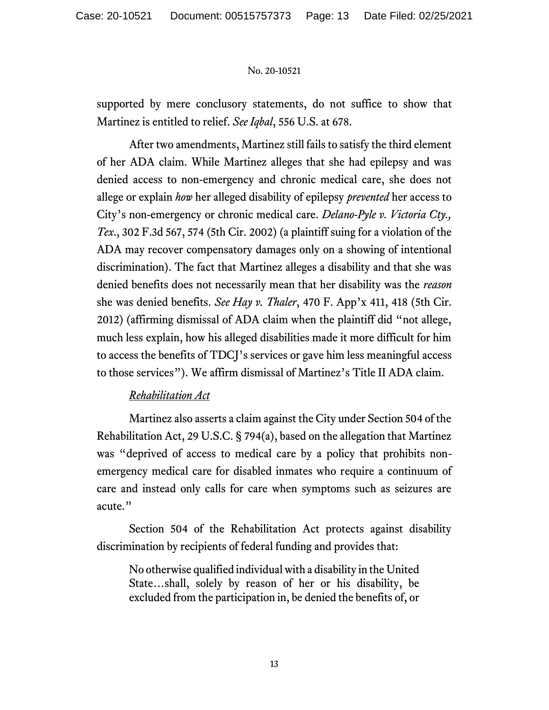supported by mere conclusory statements, do not suffice to show that Martinez is entitled to relief. *See Iqbal*, 556 U.S. at 678.

After two amendments, Martinez still fails to satisfy the third element of her ADA claim. While Martinez alleges that she had epilepsy and was denied access to non-emergency and chronic medical care, she does not allege or explain *how* her alleged disability of epilepsy *prevented* her access to City's non-emergency or chronic medical care. *Delano-Pyle v. Victoria Cty., Tex*., 302 F.3d 567, 574 (5th Cir. 2002) (a plaintiff suing for a violation of the ADA may recover compensatory damages only on a showing of intentional discrimination). The fact that Martinez alleges a disability and that she was denied benefits does not necessarily mean that her disability was the *reason* she was denied benefits. *See Hay v. Thaler*, 470 F. App'x 411, 418 (5th Cir. 2012) (affirming dismissal of ADA claim when the plaintiff did "not allege, much less explain, how his alleged disabilities made it more difficult for him to access the benefits of TDCJ's services or gave him less meaningful access to those services"). We affirm dismissal of Martinez's Title II ADA claim.

# *Rehabilitation Act*

Martinez also asserts a claim against the City under Section 504 of the Rehabilitation Act, 29 U.S.C. § 794(a), based on the allegation that Martinez was "deprived of access to medical care by a policy that prohibits nonemergency medical care for disabled inmates who require a continuum of care and instead only calls for care when symptoms such as seizures are acute."

Section 504 of the Rehabilitation Act protects against disability discrimination by recipients of federal funding and provides that:

No otherwise qualified individual with a disability in the United State…shall, solely by reason of her or his disability, be excluded from the participation in, be denied the benefits of, or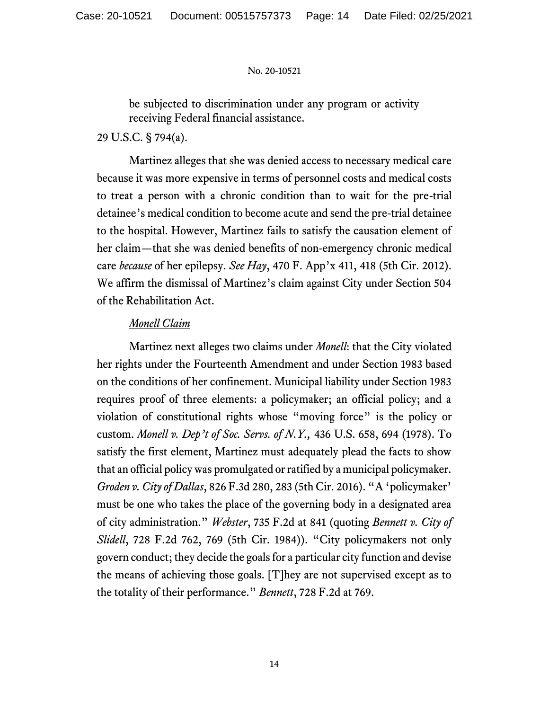be subjected to discrimination under any program or activity receiving Federal financial assistance.

29 U.S.C. § 794(a).

Martinez alleges that she was denied access to necessary medical care because it was more expensive in terms of personnel costs and medical costs to treat a person with a chronic condition than to wait for the pre-trial detainee's medical condition to become acute and send the pre-trial detainee to the hospital. However, Martinez fails to satisfy the causation element of her claim—that she was denied benefits of non-emergency chronic medical care *because* of her epilepsy. *See Hay*, 470 F. App'x 411, 418 (5th Cir. 2012). We affirm the dismissal of Martinez's claim against City under Section 504 of the Rehabilitation Act.

### *Monell Claim*

Martinez next alleges two claims under *Monell*: that the City violated her rights under the Fourteenth Amendment and under Section 1983 based on the conditions of her confinement. Municipal liability under Section 1983 requires proof of three elements: a policymaker; an official policy; and a violation of constitutional rights whose "moving force" is the policy or custom. *Monell v. Dep't of Soc. Servs. of N.Y.,* 436 U.S. 658, 694 (1978). To satisfy the first element, Martinez must adequately plead the facts to show that an official policy was promulgated or ratified by a municipal policymaker. *Groden v. City of Dallas*, 826 F.3d 280, 283 (5th Cir. 2016). "A 'policymaker' must be one who takes the place of the governing body in a designated area of city administration." *Webster*, 735 F.2d at 841 (quoting *Bennett v. City of Slidell*, 728 F.2d 762, 769 (5th Cir. 1984)). "City policymakers not only govern conduct; they decide the goals for a particular city function and devise the means of achieving those goals. [T]hey are not supervised except as to the totality of their performance." *Bennett*, 728 F.2d at 769.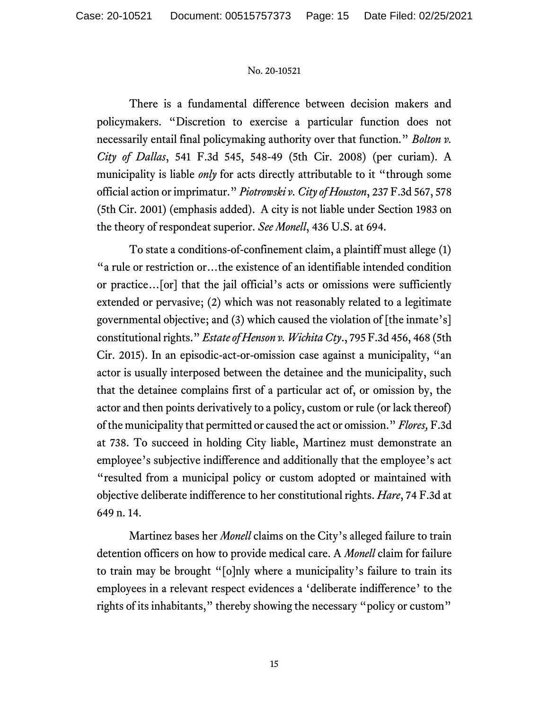There is a fundamental difference between decision makers and policymakers. "Discretion to exercise a particular function does not necessarily entail final policymaking authority over that function." *Bolton v. City of Dallas*, 541 F.3d 545, 548-49 (5th Cir. 2008) (per curiam). A municipality is liable *only* for acts directly attributable to it "through some official action or imprimatur." *Piotrowski v. City of Houston*, 237 F.3d 567, 578 (5th Cir. 2001) (emphasis added). A city is not liable under Section 1983 on the theory of respondeat superior. *See Monell*, 436 U.S. at 694.

To state a conditions-of-confinement claim, a plaintiff must allege (1) "a rule or restriction or…the existence of an identifiable intended condition or practice…[or] that the jail official's acts or omissions were sufficiently extended or pervasive; (2) which was not reasonably related to a legitimate governmental objective; and (3) which caused the violation of [the inmate's] constitutional rights." *Estate of Henson v. Wichita Cty*., 795 F.3d 456, 468 (5th Cir. 2015). In an episodic-act-or-omission case against a municipality, "an actor is usually interposed between the detainee and the municipality, such that the detainee complains first of a particular act of, or omission by, the actor and then points derivatively to a policy, custom or rule (or lack thereof) of the municipality that permitted or caused the act or omission." *Flores,* F.3d at 738. To succeed in holding City liable, Martinez must demonstrate an employee's subjective indifference and additionally that the employee's act "resulted from a municipal policy or custom adopted or maintained with objective deliberate indifference to her constitutional rights. *Hare*, 74 F.3d at 649 n. 14.

Martinez bases her *Monell* claims on the City's alleged failure to train detention officers on how to provide medical care. A *Monell* claim for failure to train may be brought "[o]nly where a municipality's failure to train its employees in a relevant respect evidences a 'deliberate indifference' to the rights of its inhabitants," thereby showing the necessary "policy or custom"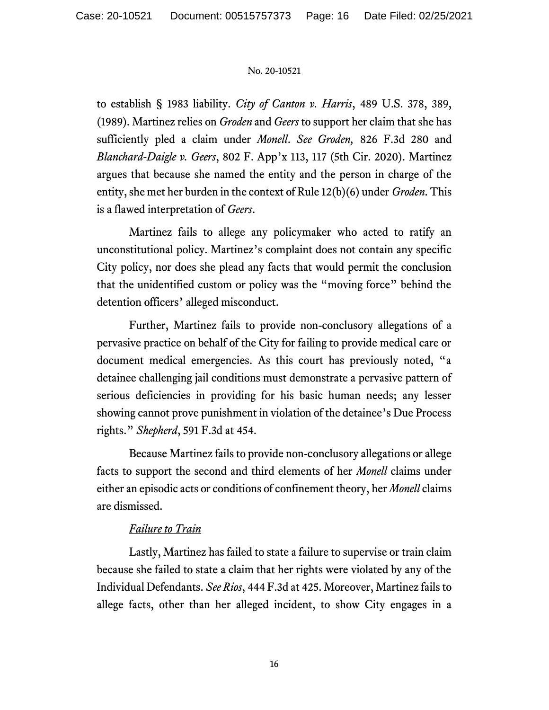to establish § 1983 liability. *City of Canton v. Harris*, 489 U.S. 378, 389, (1989). Martinez relies on *Groden* and *Geers* to support her claim that she has sufficiently pled a claim under *Monell*. *See Groden,* 826 F.3d 280 and *Blanchard-Daigle v. Geers*, 802 F. App'x 113, 117 (5th Cir. 2020). Martinez argues that because she named the entity and the person in charge of the entity, she met her burden in the context of Rule 12(b)(6) under *Groden*. This is a flawed interpretation of *Geers*.

Martinez fails to allege any policymaker who acted to ratify an unconstitutional policy. Martinez's complaint does not contain any specific City policy, nor does she plead any facts that would permit the conclusion that the unidentified custom or policy was the "moving force" behind the detention officers' alleged misconduct.

Further, Martinez fails to provide non-conclusory allegations of a pervasive practice on behalf of the City for failing to provide medical care or document medical emergencies. As this court has previously noted, "a detainee challenging jail conditions must demonstrate a pervasive pattern of serious deficiencies in providing for his basic human needs; any lesser showing cannot prove punishment in violation of the detainee's Due Process rights." *Shepherd*, 591 F.3d at 454.

Because Martinez fails to provide non-conclusory allegations or allege facts to support the second and third elements of her *Monell* claims under either an episodic acts or conditions of confinement theory, her *Monell* claims are dismissed.

# *Failure to Train*

Lastly, Martinez has failed to state a failure to supervise or train claim because she failed to state a claim that her rights were violated by any of the Individual Defendants. *See Rios*, 444 F.3d at 425. Moreover, Martinez fails to allege facts, other than her alleged incident, to show City engages in a